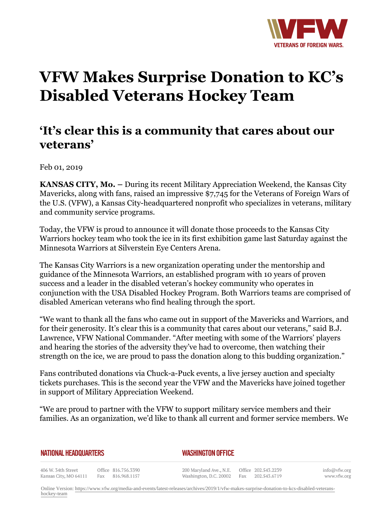

## **VFW Makes Surprise Donation to KC's Disabled Veterans Hockey Team**

## **'It's clear this is a community that cares about our veterans'**

Feb 01, 2019

**KANSAS CITY, Mo. –** During its recent Military Appreciation Weekend, the Kansas City Mavericks, along with fans, raised an impressive \$7,745 for the Veterans of Foreign Wars of the U.S. (VFW), a Kansas City-headquartered nonprofit who specializes in veterans, military and community service programs.

Today, the VFW is proud to announce it will donate those proceeds to the Kansas City Warriors hockey team who took the ice in its first exhibition game last Saturday against the Minnesota Warriors at Silverstein Eye Centers Arena.

The Kansas City Warriors is a new organization operating under the mentorship and guidance of the Minnesota Warriors, an established program with 10 years of proven success and a leader in the disabled veteran's hockey community who operates in conjunction with the USA Disabled Hockey Program. Both Warriors teams are comprised of disabled American veterans who find healing through the sport.

"We want to thank all the fans who came out in support of the Mavericks and Warriors, and for their generosity. It's clear this is a community that cares about our veterans," said B.J. Lawrence, VFW National Commander. "After meeting with some of the Warriors' players and hearing the stories of the adversity they've had to overcome, then watching their strength on the ice, we are proud to pass the donation along to this budding organization."

Fans contributed donations via Chuck-a-Puck events, a live jersey auction and specialty tickets purchases. This is the second year the VFW and the Mavericks have joined together in support of Military Appreciation Weekend.

"We are proud to partner with the VFW to support military service members and their families. As an organization, we'd like to thank all current and former service members. We

## **NATIONAL HEADQUARTERS**

*WASHINGTON OFFICE* 

406 W. 34th Street Office 816.756.3390 Kansas City, MO 64111 Fax 816.968.1157

200 Maryland Ave., N.E. Washington, D.C. 20002

Office 202.543.2239 Fax 202.543.6719 info@vfw.org www.vfw.org